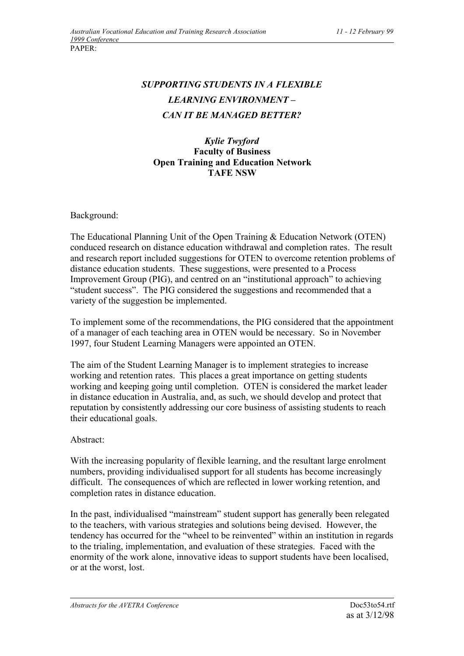## *SUPPORTING STUDENTS IN A FLEXIBLE LEARNING ENVIRONMENT – CAN IT BE MANAGED BETTER?*

## *Kylie Twyford* **Faculty of Business Open Training and Education Network TAFE NSW**

Background:

The Educational Planning Unit of the Open Training & Education Network (OTEN) conduced research on distance education withdrawal and completion rates. The result and research report included suggestions for OTEN to overcome retention problems of distance education students. These suggestions, were presented to a Process Improvement Group (PIG), and centred on an "institutional approach" to achieving "student success". The PIG considered the suggestions and recommended that a variety of the suggestion be implemented.

To implement some of the recommendations, the PIG considered that the appointment of a manager of each teaching area in OTEN would be necessary. So in November 1997, four Student Learning Managers were appointed an OTEN.

The aim of the Student Learning Manager is to implement strategies to increase working and retention rates. This places a great importance on getting students working and keeping going until completion. OTEN is considered the market leader in distance education in Australia, and, as such, we should develop and protect that reputation by consistently addressing our core business of assisting students to reach their educational goals.

## Abstract:

With the increasing popularity of flexible learning, and the resultant large enrolment numbers, providing individualised support for all students has become increasingly difficult. The consequences of which are reflected in lower working retention, and completion rates in distance education.

In the past, individualised "mainstream" student support has generally been relegated to the teachers, with various strategies and solutions being devised. However, the tendency has occurred for the "wheel to be reinvented" within an institution in regards to the trialing, implementation, and evaluation of these strategies. Faced with the enormity of the work alone, innovative ideas to support students have been localised, or at the worst, lost.